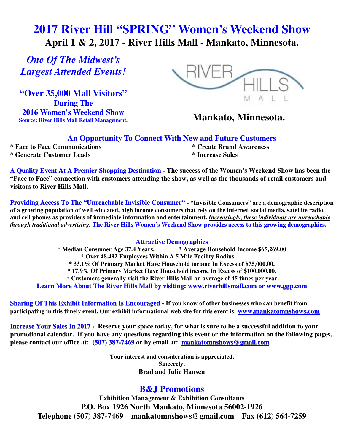# **2017 River Hill "SPRING" Women's Weekend Show April 1 & 2, 2017 - River Hills Mall - Mankato, Minnesota.**

*One Of The Midwest's Largest Attended Events!* 

**"Over 35,000 Mall Visitors" During The 2016 Women's Weekend Show Source: River Hills Mall Retail Management.**



# **Mankato, Minnesota.**

#### **An Opportunity To Connect With New and Future Customers**

**\* Face to Face Communications \* Create Brand Awareness** 

**\* Generate Customer Leads \* Increase Sales**

**A Quality Event At A Premier Shopping Destination - The success of the Women's Weekend Show has been the "Face to Face" connection with customers attending the show, as well as the thousands of retail customers and visitors to River Hills Mall.** 

**Providing Access To The "Unreachable Invisible Consumer" - "Invisible Consumers" are a demographic description of a growing population of well educated, high income consumers that rely on the internet, social media, satellite radio, and cell phones as providers of immediate information and entertainment.** *Increasingly, these individuals are unreachable through traditional advertising.* **The River Hills Women's Weekend Show provides access to this growing demographics.**

#### **Attractive Demographics**

**\* Median Consumer Age 37.4 Years. \* Average Household Income \$65,269.00 \* Over 48,492 Employees Within A 5 Mile Facility Radius. \* 33.1% Of Primary Market Have Household income In Excess of \$75,000.00. \* 17.9% Of Primary Market Have Household income In Excess of \$100,000.00. \* Customers generally visit the River Hills Mall an average of 45 times per year.** 

**Learn More About The River Hills Mall by visiting: www.riverhillsmall.com or www.ggp.com**

**Sharing Of This Exhibit Information Is Encouraged - If you know of other businesses who can benefit from participating in this timely event. Our exhibit informational web site for this event is: www.mankatomnshows.com**

**Increase Your Sales In 2017 - Reserve your space today, for what is sure to be a successful addition to your promotional calendar. If you have any questions regarding this event or the information on the following pages, please contact our office at: (507) 387-7469 or by email at: mankatomnshows@gmail.com**

> **Your interest and consideration is appreciated. Sincerely, Brad and Julie Hansen**

### **B&J Promotions**

**Exhibition Management & Exhibition Consultants P.O. Box 1926 North Mankato, Minnesota 56002-1926 Telephone (507) 387-7469 mankatomnshows@gmail.com Fax (612) 564-7259**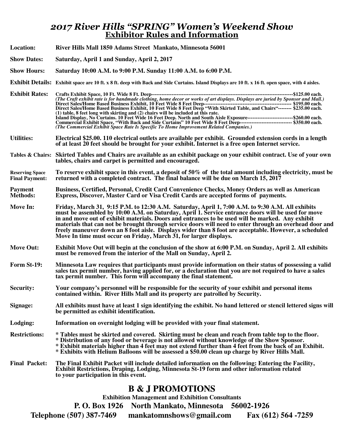### *2017 River Hills "SPRING" Women's Weekend Show*  **Exhibitor Rules and Information**

- **Location: River Hills Mall 1850 Adams Street Mankato, Minnesota 56001**
- **Show Dates: Saturday, April 1 and Sunday, April 2, 2017**

**Show Hours: Saturday 10:00 A.M. to 9:00 P.M. Sunday 11:00 A.M. to 6:00 P.M.** 

- **Exhibit Details: Exhibit space are 10 ft. x 8 ft. deep with Back and Side Curtains. Island Displays are 10 ft. x 16 ft. open space, with 4 aisles.**
- **Exhibit Rates: Crafts Exhibit Space, 10 Ft. Wide 8 Ft. Deep------------------------------------------------------------------------------------ \$125.00 each.** *(The Craft exhibit rate is for handmade clothing, home decor or works of art displays. Displays are juried by Sponsor and Mall.)*   **Direct Sales/Home Based Business Exhibit, 10 Feet Wide 8 Feet Deep---------------------------------------------------- \$195.00 each. Direct Sales/Home Based Business Exhibit, 10 Feet Wide 8 Feet Deep "With Skirted Table, and Chairs"-------- \$235.00 each. (1) table, 8 feet long with skirting and (2) chairs will be included at this rate. Island Display, No Curtains. 10 Feet Wide 16 Feet Deep. North and South Aisle Exposure--------------------------- \$260.00 each. Commercial Exhibit Space, "With Back and Side Curtains" 10 Feet Wide 8 Feet Deep------------------------------- \$350.00 each.** *(The Commercial Exhibit Space Rate Is Specific To Home Improvement Related Companies.)*
- **Utilities: Electrical \$25.00. 110 electrical outlets are available per exhibit. Grounded extension cords in a length of at least 20 feet should be brought for your exhibit. Internet is a free open Internet service.**
- **Tables & Chairs: Skirted Tables and Chairs are available as an exhibit package on your exhibit contract. Use of your own tables, chairs and carpet is permitted and encouraged.**
- **Reserving Space To reserve exhibit space in this event, a deposit of 50% of the total amount including electricity, must be Final Payment: returned with a completed contract. The final balance will be due on March 15, 2017**
- **Payment Business, Certified, Personal, Credit Card Convenience Checks, Money Orders as well as American**  Express, Discover, Master Card or Visa Credit Cards are accepted forms of payments.
- **Move In: Friday, March 31, 9:15 P.M. to 12:30 A.M. Saturday, April 1, 7:00 A.M. to 9:30 A.M. All exhibits must be assembled by 10:00 A.M. on Saturday, April 1. Service entrance doors will be used for move in and move out of exhibit materials. Doors and entrances to be used will be marked. Any exhibit materials that can not be brought through service doors will need to enter through an overhead door and freely maneuver down an 8 foot aisle. Displays wider than 8 foot are acceptable. However, a scheduled Move In time must occur on Friday, March 31, for larger displays.**
- **Move Out: Exhibit Move Out will begin at the conclusion of the show at 6:00 P.M. on Sunday, April 2. All exhibits must be removed from the interior of the Mall on Sunday, April 2.**
- **Form St-19: Minnesota Law requires that participants must provide information on their status of possessing a valid sales tax permit number, having applied for, or a declaration that you are not required to have a sales tax permit number. This form will accompany the final statement.**
- **Security: Your company's personnel will be responsible for the security of your exhibit and personal items contained within. River Hills Mall and its property are patrolled by Security.**
- **Signage: All exhibits must have at least 1 sign identifying the exhibit. No hand lettered or stencil lettered signs will be permitted as exhibit identification.**
- **Lodging: Information on overnight lodging will be provided with your final statement.**
- **Restrictions: \* Tables must be skirted and covered. Skirting must be clean and reach from table top to the floor. \* Distribution of any food or beverage is not allowed without knowledge of the Show Sponsor. \* Exhibit materials higher than 4 feet may not extend further than 4 feet from the back of an Exhibit. \* Exhibits with Helium Balloons will be assessed a \$50.00 clean up charge by River Hills Mall.**
- **Final Packet: The Final Exhibit Packet will include detailed information on the following: Entering the Facility, Exhibit Restrictions, Draping, Lodging, Minnesota St-19 form and other information related to your participation in this event.**

#### **B & J PROMOTIONS**

**Exhibition Management and Exhibition Consultants** 

**P. O. Box 1926 North Mankato, Minnesota 56002-1926** 

**Telephone (507) 387-7469 mankatomnshows@gmail.com Fax (612) 564 -7259**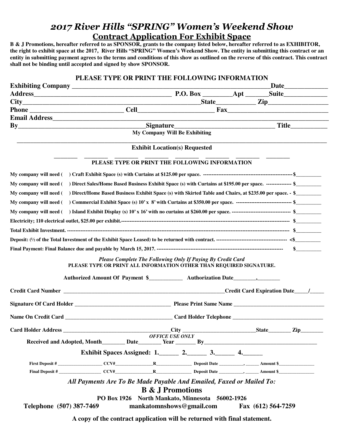# *2017 River Hills "SPRING" Women's Weekend Show*  **Contract Application For Exhibit Space**

**B & J Promotions, hereafter referred to as SPONSOR, grants to the company listed below, hereafter referred to as EXHIBITOR, the right to exhibit space at the 2017, River Hills "SPRING" Women's Weekend Show. The entity in submitting this contract or an entity in submitting payment agrees to the terms and conditions of this show as outlined on the reverse of this contract. This contract shall not be binding until accepted and signed by show SPONSOR.** 

| $City$ $City$ $Zip$ $Zip$                                                                                                       |                                                                                                                                                           |                                                             |                        |                                      |  |  |  |  |
|---------------------------------------------------------------------------------------------------------------------------------|-----------------------------------------------------------------------------------------------------------------------------------------------------------|-------------------------------------------------------------|------------------------|--------------------------------------|--|--|--|--|
|                                                                                                                                 |                                                                                                                                                           |                                                             |                        |                                      |  |  |  |  |
|                                                                                                                                 |                                                                                                                                                           |                                                             |                        |                                      |  |  |  |  |
|                                                                                                                                 | By Title Title<br>My Company Will Be Exhibiting                                                                                                           |                                                             |                        |                                      |  |  |  |  |
|                                                                                                                                 |                                                                                                                                                           |                                                             |                        |                                      |  |  |  |  |
|                                                                                                                                 |                                                                                                                                                           |                                                             |                        | <b>Exhibit Location(s) Requested</b> |  |  |  |  |
|                                                                                                                                 |                                                                                                                                                           | PLEASE TYPE OR PRINT THE FOLLOWING INFORMATION              |                        |                                      |  |  |  |  |
|                                                                                                                                 |                                                                                                                                                           |                                                             |                        |                                      |  |  |  |  |
|                                                                                                                                 | My company will need () Direct Sales/Home Based Business Exhibit Space (s) with Curtains at \$195.00 per space. --------------- \$                        |                                                             |                        |                                      |  |  |  |  |
| My company will need () Direct/Home Based Business Exhibit Space (s) with Skirted Table and Chairs, at \$235.00 per space. - \$ |                                                                                                                                                           |                                                             |                        |                                      |  |  |  |  |
|                                                                                                                                 | My company will need () Commercial Exhibit Space (s) 10' x 8' with Curtains at \$350.00 per space. ---------------------------------- \$                  |                                                             |                        |                                      |  |  |  |  |
|                                                                                                                                 |                                                                                                                                                           |                                                             |                        |                                      |  |  |  |  |
|                                                                                                                                 |                                                                                                                                                           |                                                             |                        |                                      |  |  |  |  |
|                                                                                                                                 |                                                                                                                                                           |                                                             |                        |                                      |  |  |  |  |
|                                                                                                                                 |                                                                                                                                                           |                                                             |                        |                                      |  |  |  |  |
|                                                                                                                                 |                                                                                                                                                           |                                                             |                        |                                      |  |  |  |  |
|                                                                                                                                 | PLEASE TYPE OR PRINT ALL INFORMATION OTHER THAN REQUIRED SIGNATURE.<br>Authorized Amount Of Payment \$______________ Authorization Date__________________ | Please Complete The Following Only If Paying By Credit Card |                        |                                      |  |  |  |  |
|                                                                                                                                 |                                                                                                                                                           |                                                             |                        |                                      |  |  |  |  |
|                                                                                                                                 |                                                                                                                                                           |                                                             |                        |                                      |  |  |  |  |
|                                                                                                                                 |                                                                                                                                                           |                                                             |                        |                                      |  |  |  |  |
|                                                                                                                                 |                                                                                                                                                           |                                                             |                        |                                      |  |  |  |  |
|                                                                                                                                 |                                                                                                                                                           |                                                             | <b>OFFICE USE ONLY</b> |                                      |  |  |  |  |
|                                                                                                                                 | Exhibit Spaces Assigned: $1.$ 2. 3. 4.                                                                                                                    |                                                             |                        |                                      |  |  |  |  |
|                                                                                                                                 |                                                                                                                                                           |                                                             |                        |                                      |  |  |  |  |
|                                                                                                                                 |                                                                                                                                                           |                                                             |                        |                                      |  |  |  |  |
|                                                                                                                                 |                                                                                                                                                           |                                                             |                        |                                      |  |  |  |  |
|                                                                                                                                 | All Payments Are To Be Made Payable And Emailed, Faxed or Mailed To:                                                                                      |                                                             |                        | <b>B &amp; J Promotions</b>          |  |  |  |  |
|                                                                                                                                 |                                                                                                                                                           | PO Box 1926 North Mankato, Minnesota 56002-1926             |                        |                                      |  |  |  |  |

**A copy of the contract application will be returned with final statement.**